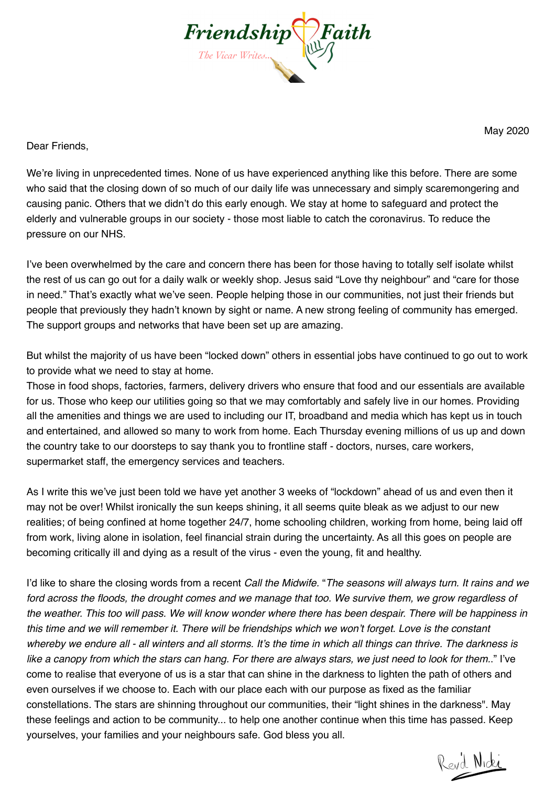

May 2020

Dear Friends,

We're living in unprecedented times. None of us have experienced anything like this before. There are some who said that the closing down of so much of our daily life was unnecessary and simply scaremongering and causing panic. Others that we didn't do this early enough. We stay at home to safeguard and protect the elderly and vulnerable groups in our society - those most liable to catch the coronavirus. To reduce the pressure on our NHS.

I've been overwhelmed by the care and concern there has been for those having to totally self isolate whilst the rest of us can go out for a daily walk or weekly shop. Jesus said "Love thy neighbour" and "care for those in need." That's exactly what we've seen. People helping those in our communities, not just their friends but people that previously they hadn't known by sight or name. A new strong feeling of community has emerged. The support groups and networks that have been set up are amazing.

But whilst the majority of us have been "locked down" others in essential jobs have continued to go out to work to provide what we need to stay at home.

Those in food shops, factories, farmers, delivery drivers who ensure that food and our essentials are available for us. Those who keep our utilities going so that we may comfortably and safely live in our homes. Providing all the amenities and things we are used to including our IT, broadband and media which has kept us in touch and entertained, and allowed so many to work from home. Each Thursday evening millions of us up and down the country take to our doorsteps to say thank you to frontline staff - doctors, nurses, care workers, supermarket staff, the emergency services and teachers.

As I write this we've just been told we have yet another 3 weeks of "lockdown" ahead of us and even then it may not be over! Whilst ironically the sun keeps shining, it all seems quite bleak as we adjust to our new realities; of being confined at home together 24/7, home schooling children, working from home, being laid off from work, living alone in isolation, feel financial strain during the uncertainty. As all this goes on people are becoming critically ill and dying as a result of the virus - even the young, fit and healthy.

I'd like to share the closing words from a recent *Call the Midwife.* "*The seasons will always turn. It rains and we ford across the floods, the drought comes and we manage that too. We survive them, we grow regardless of the weather. This too will pass. We will know wonder where there has been despair. There will be happiness in this time and we will remember it. There will be friendships which we won't forget. Love is the constant whereby we endure all - all winters and all storms. It's the time in which all things can thrive. The darkness is like a canopy from which the stars can hang. For there are always stars, we just need to look for them.*." I've come to realise that everyone of us is a star that can shine in the darkness to lighten the path of others and even ourselves if we choose to. Each with our place each with our purpose as fixed as the familiar constellations. The stars are shinning throughout our communities, their "light shines in the darkness". May these feelings and action to be community... to help one another continue when this time has passed. Keep yourselves, your families and your neighbours safe. God bless you all.

Revil Nicki